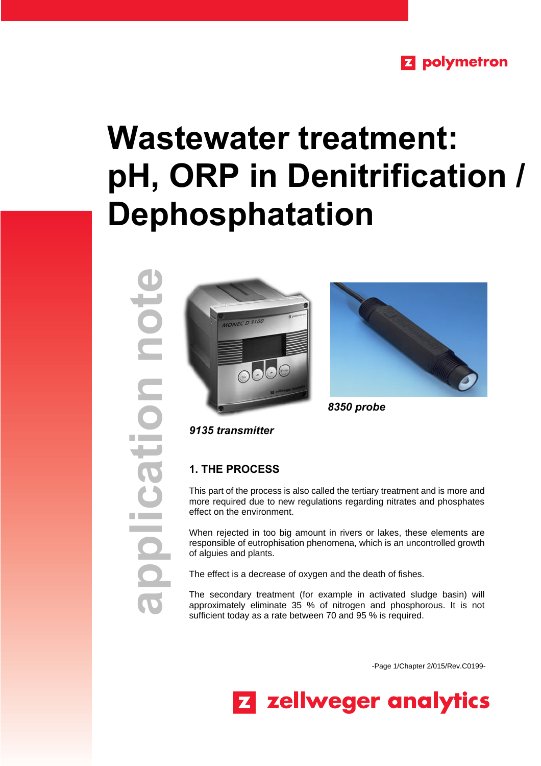# **Z** polymetron

# **Wastewater treatment: pH, ORP in Denitrification / Dephosphatation**

**application note**note noite





*8350 probe*

*9135 transmitter*

# **1. THE PROCESS**

This part of the process is also called the tertiary treatment and is more and more required due to new regulations regarding nitrates and phosphates effect on the environment.

When rejected in too big amount in rivers or lakes, these elements are responsible of eutrophisation phenomena, which is an uncontrolled growth of alguies and plants.

The effect is a decrease of oxygen and the death of fishes.

The secondary treatment (for example in activated sludge basin) will approximately eliminate 35 % of nitrogen and phosphorous. It is not sufficient today as a rate between 70 and 95 % is required.

-Page 1/Chapter 2/015/Rev.C0199-

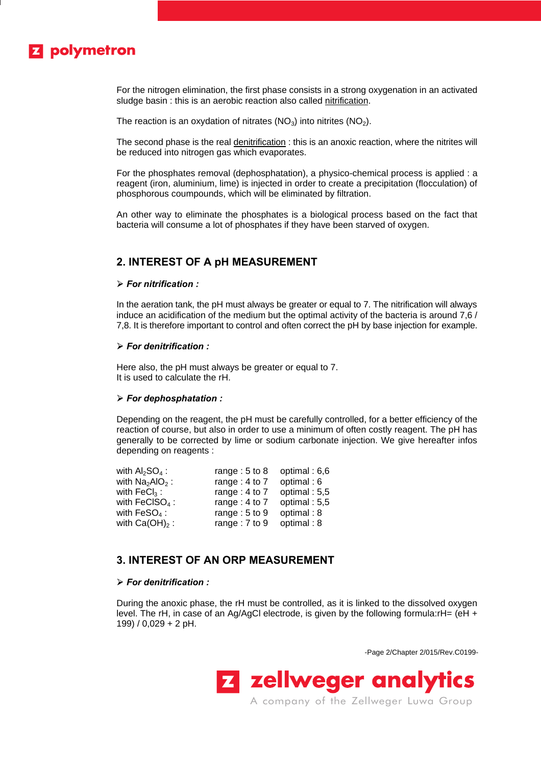# **Z** polymetron

For the nitrogen elimination, the first phase consists in a strong oxygenation in an activated sludge basin : this is an aerobic reaction also called nitrification.

The reaction is an oxydation of nitrates  $(NO<sub>3</sub>)$  into nitrites  $(NO<sub>2</sub>)$ .

The second phase is the real denitrification : this is an anoxic reaction, where the nitrites will be reduced into nitrogen gas which evaporates.

For the phosphates removal (dephosphatation), a physico-chemical process is applied : a reagent (iron, aluminium, lime) is injected in order to create a precipitation (flocculation) of phosphorous coumpounds, which will be eliminated by filtration.

An other way to eliminate the phosphates is a biological process based on the fact that bacteria will consume a lot of phosphates if they have been starved of oxygen.

# **2. INTEREST OF A pH MEASUREMENT**

## ÿ *For nitrification :*

In the aeration tank, the pH must always be greater or equal to 7. The nitrification will always induce an acidification of the medium but the optimal activity of the bacteria is around 7,6 / 7,8. It is therefore important to control and often correct the pH by base injection for example.

#### ÿ *For denitrification :*

Here also, the pH must always be greater or equal to 7. It is used to calculate the rH.

## ÿ *For dephosphatation :*

Depending on the reagent, the pH must be carefully controlled, for a better efficiency of the reaction of course, but also in order to use a minimum of often costly reagent. The pH has generally to be corrected by lime or sodium carbonate injection. We give hereafter infos depending on reagents :

| with $Al2SO4$ :        | range: $5$ to $8$ | optimal: 6,6 |
|------------------------|-------------------|--------------|
| with $Na2AIO2$ :       | range: $4$ to $7$ | optimal: 6   |
| with $\text{FeCl}_3$ : | range: $4$ to $7$ | optimal: 5,5 |
| with $FeClSO4$ :       | range: $4$ to $7$ | optimal: 5,5 |
| with $FeSO4$ :         | range: $5$ to $9$ | optimal: 8   |
| with $Ca(OH)_2$ :      | range: 7 to 9     | optimal: 8   |

# **3. INTEREST OF AN ORP MEASUREMENT**

#### ÿ *For denitrification :*

During the anoxic phase, the rH must be controlled, as it is linked to the dissolved oxygen level. The rH, in case of an Ag/AgCl electrode, is given by the following formula:rH= (eH + 199) / 0,029 + 2 pH.

-Page 2/Chapter 2/015/Rev.C0199-

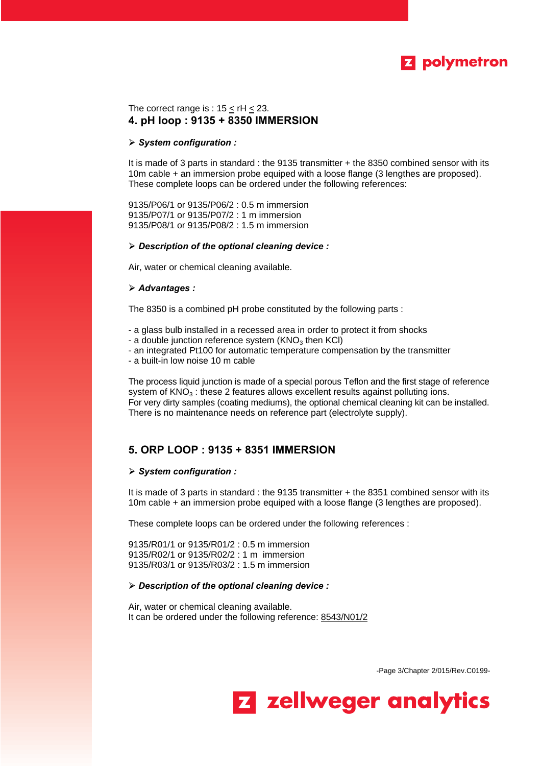

# The correct range is :  $15 \le rH \le 23$ . **4. pH loop : 9135 + 8350 IMMERSION**

#### ÿ *System configuration :*

It is made of 3 parts in standard : the 9135 transmitter + the 8350 combined sensor with its 10m cable + an immersion probe equiped with a loose flange (3 lengthes are proposed). These complete loops can be ordered under the following references:

9135/P06/1 or 9135/P06/2 : 0.5 m immersion 9135/P07/1 or 9135/P07/2 : 1 m immersion 9135/P08/1 or 9135/P08/2 : 1.5 m immersion

## ÿ *Description of the optional cleaning device :*

Air, water or chemical cleaning available.

# ÿ *Advantages :*

The 8350 is a combined pH probe constituted by the following parts :

- a glass bulb installed in a recessed area in order to protect it from shocks
- a double junction reference system ( $KNO<sub>3</sub>$  then KCI)
- an integrated Pt100 for automatic temperature compensation by the transmitter
- a built-in low noise 10 m cable

The process liquid junction is made of a special porous Teflon and the first stage of reference system of  $KNO<sub>3</sub>$ : these 2 features allows excellent results against polluting ions. For very dirty samples (coating mediums), the optional chemical cleaning kit can be installed. There is no maintenance needs on reference part (electrolyte supply).

# **5. ORP LOOP : 9135 + 8351 IMMERSION**

#### ÿ *System configuration :*

It is made of 3 parts in standard : the 9135 transmitter + the 8351 combined sensor with its 10m cable + an immersion probe equiped with a loose flange (3 lengthes are proposed).

These complete loops can be ordered under the following references :

9135/R01/1 or 9135/R01/2 : 0.5 m immersion 9135/R02/1 or 9135/R02/2 : 1 m immersion 9135/R03/1 or 9135/R03/2 : 1.5 m immersion

# ÿ *Description of the optional cleaning device :*

Air, water or chemical cleaning available. It can be ordered under the following reference: 8543/N01/2

-Page 3/Chapter 2/015/Rev.C0199-